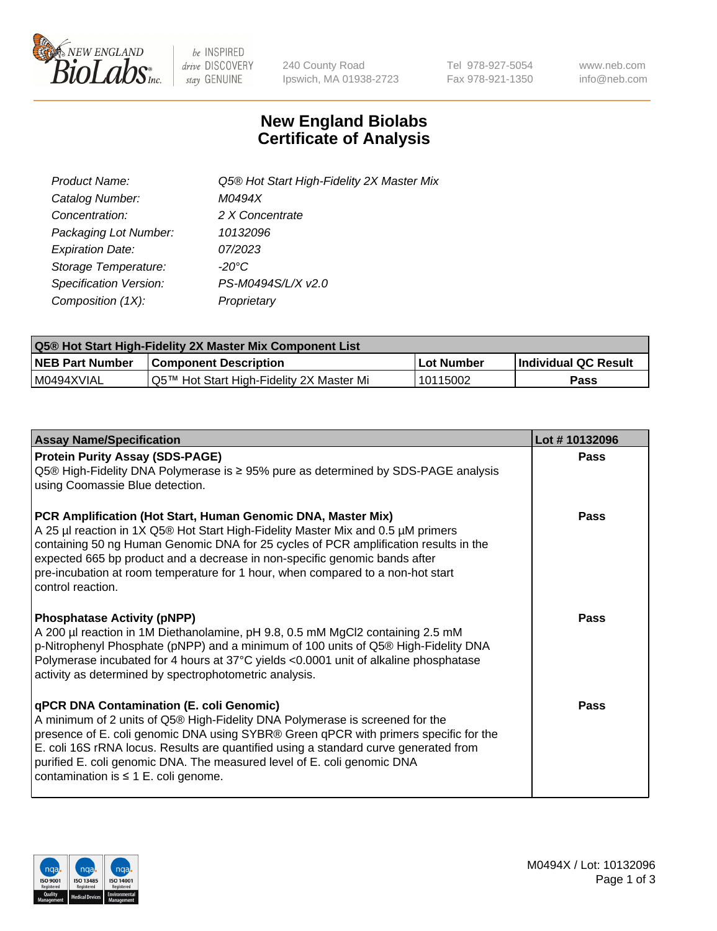

 $be$  INSPIRED drive DISCOVERY stay GENUINE

240 County Road Ipswich, MA 01938-2723 Tel 978-927-5054 Fax 978-921-1350 www.neb.com info@neb.com

## **New England Biolabs Certificate of Analysis**

| Product Name:           | Q5® Hot Start High-Fidelity 2X Master Mix |
|-------------------------|-------------------------------------------|
| Catalog Number:         | M0494X                                    |
| Concentration:          | 2 X Concentrate                           |
| Packaging Lot Number:   | 10132096                                  |
| <b>Expiration Date:</b> | 07/2023                                   |
| Storage Temperature:    | -20°C                                     |
| Specification Version:  | PS-M0494S/L/X v2.0                        |
| Composition (1X):       | Proprietary                               |

| <b>Q5® Hot Start High-Fidelity 2X Master Mix Component List</b> |                                          |            |                      |  |  |
|-----------------------------------------------------------------|------------------------------------------|------------|----------------------|--|--|
| <b>NEB Part Number</b>                                          | <b>Component Description</b>             | Lot Number | Individual QC Result |  |  |
| M0494XVIAL                                                      | Q5™ Hot Start High-Fidelity 2X Master Mi | 10115002   | Pass                 |  |  |

| <b>Assay Name/Specification</b>                                                                                                                                                                                                                                                                                                                                                                                                         | Lot #10132096 |
|-----------------------------------------------------------------------------------------------------------------------------------------------------------------------------------------------------------------------------------------------------------------------------------------------------------------------------------------------------------------------------------------------------------------------------------------|---------------|
| <b>Protein Purity Assay (SDS-PAGE)</b><br>Q5 <sup>®</sup> High-Fidelity DNA Polymerase is ≥ 95% pure as determined by SDS-PAGE analysis<br>using Coomassie Blue detection.                                                                                                                                                                                                                                                              | Pass          |
| PCR Amplification (Hot Start, Human Genomic DNA, Master Mix)<br>A 25 µl reaction in 1X Q5® Hot Start High-Fidelity Master Mix and 0.5 µM primers<br>containing 50 ng Human Genomic DNA for 25 cycles of PCR amplification results in the<br>expected 665 bp product and a decrease in non-specific genomic bands after<br>pre-incubation at room temperature for 1 hour, when compared to a non-hot start<br>control reaction.          | Pass          |
| <b>Phosphatase Activity (pNPP)</b><br>A 200 µl reaction in 1M Diethanolamine, pH 9.8, 0.5 mM MgCl2 containing 2.5 mM<br>p-Nitrophenyl Phosphate (pNPP) and a minimum of 100 units of Q5® High-Fidelity DNA<br>Polymerase incubated for 4 hours at 37°C yields <0.0001 unit of alkaline phosphatase<br>activity as determined by spectrophotometric analysis.                                                                            | Pass          |
| <b>qPCR DNA Contamination (E. coli Genomic)</b><br>A minimum of 2 units of Q5® High-Fidelity DNA Polymerase is screened for the<br>presence of E. coli genomic DNA using SYBR® Green qPCR with primers specific for the<br>E. coli 16S rRNA locus. Results are quantified using a standard curve generated from<br>purified E. coli genomic DNA. The measured level of E. coli genomic DNA<br>contamination is $\leq 1$ E. coli genome. | Pass          |

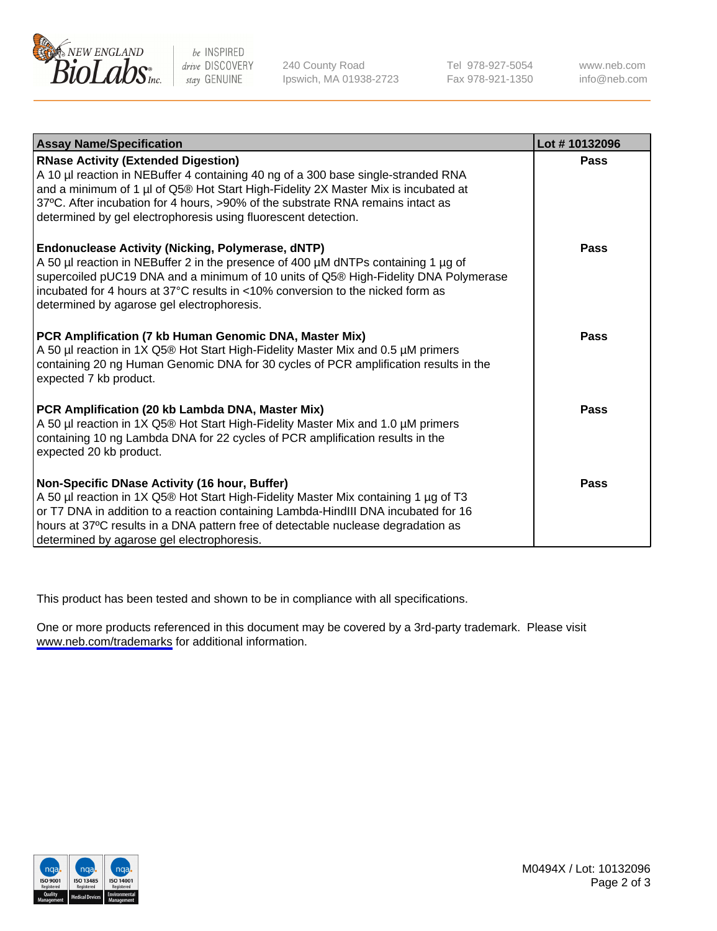

be INSPIRED drive DISCOVERY stay GENUINE

240 County Road Ipswich, MA 01938-2723 Tel 978-927-5054 Fax 978-921-1350

www.neb.com info@neb.com

| <b>Assay Name/Specification</b>                                                                                                                                                                                                                                                                                                                                            | Lot #10132096 |
|----------------------------------------------------------------------------------------------------------------------------------------------------------------------------------------------------------------------------------------------------------------------------------------------------------------------------------------------------------------------------|---------------|
| <b>RNase Activity (Extended Digestion)</b><br>A 10 µl reaction in NEBuffer 4 containing 40 ng of a 300 base single-stranded RNA<br>and a minimum of 1 µl of Q5® Hot Start High-Fidelity 2X Master Mix is incubated at<br>37°C. After incubation for 4 hours, >90% of the substrate RNA remains intact as<br>determined by gel electrophoresis using fluorescent detection. | <b>Pass</b>   |
| <b>Endonuclease Activity (Nicking, Polymerase, dNTP)</b><br>A 50 µl reaction in NEBuffer 2 in the presence of 400 µM dNTPs containing 1 µg of<br>supercoiled pUC19 DNA and a minimum of 10 units of Q5® High-Fidelity DNA Polymerase<br>incubated for 4 hours at 37°C results in <10% conversion to the nicked form as<br>determined by agarose gel electrophoresis.       | Pass          |
| PCR Amplification (7 kb Human Genomic DNA, Master Mix)<br>A 50 µl reaction in 1X Q5® Hot Start High-Fidelity Master Mix and 0.5 µM primers<br>containing 20 ng Human Genomic DNA for 30 cycles of PCR amplification results in the<br>expected 7 kb product.                                                                                                               | Pass          |
| PCR Amplification (20 kb Lambda DNA, Master Mix)<br>A 50 µl reaction in 1X Q5® Hot Start High-Fidelity Master Mix and 1.0 µM primers<br>containing 10 ng Lambda DNA for 22 cycles of PCR amplification results in the<br>expected 20 kb product.                                                                                                                           | Pass          |
| Non-Specific DNase Activity (16 hour, Buffer)<br>A 50 µl reaction in 1X Q5® Hot Start High-Fidelity Master Mix containing 1 µg of T3<br>or T7 DNA in addition to a reaction containing Lambda-HindIII DNA incubated for 16<br>hours at 37°C results in a DNA pattern free of detectable nuclease degradation as<br>determined by agarose gel electrophoresis.              | Pass          |

This product has been tested and shown to be in compliance with all specifications.

One or more products referenced in this document may be covered by a 3rd-party trademark. Please visit <www.neb.com/trademarks>for additional information.